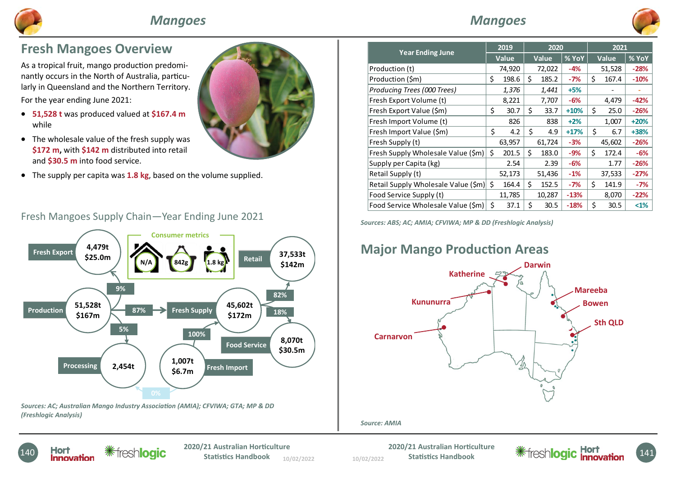

## **Mangoes**

Producing Trees (000 Trees)  $1,376$  1,441 +5% -

2019

Production (t)  $\begin{array}{|c|c|c|c|c|c|c|c|c|} \hline \end{array}$  74,920 72,022 -4% 51,528 -28% Production (\$m)  $\begin{vmatrix} 5 & 198.6 & 5 & 185.2 & -7\% & 5 & 167.4 & -10\% \end{vmatrix}$ 

Year Ending June 2019 2020 2021

Fresh Export Volume (t)  $8,221$  7,707 -6% 4,479 -42% Fresh Export Value (\$m)  $\begin{vmatrix} 5 & 30.7 & 5 & 33.7 & +10\% & 5 & 25.0 & -26\% \end{vmatrix}$ Fresh Import Volume (t)  $826$   $838$  +2% 1,007 +20% Fresh Import Value (\$m) 4.2 \$ 4.9 \$ +17% \$ 6.7 +38% Fresh Supply (t)  $63,957$  61,724  $-3\%$  45,602 -26% Fresh Supply Wholesale Value  $(\frac{5}{1}) \times 201.5 \times 183.0 -9\% \times 15.172.4 -6\%$ Supply per Capita (kg)  $2.54$   $2.54$   $2.39$   $-6\%$   $1.77$   $-26\%$ Retail Supply (t)  $52,173$   $51,436$   $-1\%$   $37,533$   $-27\%$ Retail Supply Wholesale Value (\$m)  $\vert$  \$ 164.4  $\vert$  \$ 152.5  $\vert$  -7%  $\vert$  \$ 141.9  $\vert$  -7% Food Service Supply (t)  $11,785$   $10,287$   $-13\%$   $8,070$   $-22\%$ Food Service Wholesale Value  $(\text{Sm}) \mid \text{S} = 37.1 \mid \text{S} = 30.5 \mid -18\% \mid \text{S} = 30.5 \mid \text{S} = 31.5 \mid \text{S} = 31.5 \mid \text{S} = 31.5 \mid \text{S} = 31.5 \mid \text{S} = 31.5 \mid \text{S} = 31.5 \mid \text{S} = 31.5 \mid \text{S} = 31.5 \mid \text{S} = 31.5 \mid \text{S} = 31.5 \mid \text{S} = 3$ 

Value Value | % YoY | Value | % YoY



## Fresh Mangoes Overview

As a tropical fruit, mango production predominantly occurs in the North of Australia, particularly in Queensland and the Northern Territory. For the year ending June 2021:

- $\bullet$  51,528 t was produced valued at \$167.4 m while
- $\bullet$  The wholesale value of the fresh supply was \$172 m, with \$142 m distributed into retail and \$30.5 m into food service.
- The supply per capita was **1.8 kg**, based on the volume supplied.



#### Fresh Mangoes Supply Chain—Year Ending June 2021



Sources: ABS; AC; AMIA; CFVIWA; MP & DD (Freshlogic Analysis)

# **Major Mango Production Areas**



#### Source: AMIA



10/02/2022 **Statistics Handbook** 10/02/2022 10/02/2022

Statistics Handbook

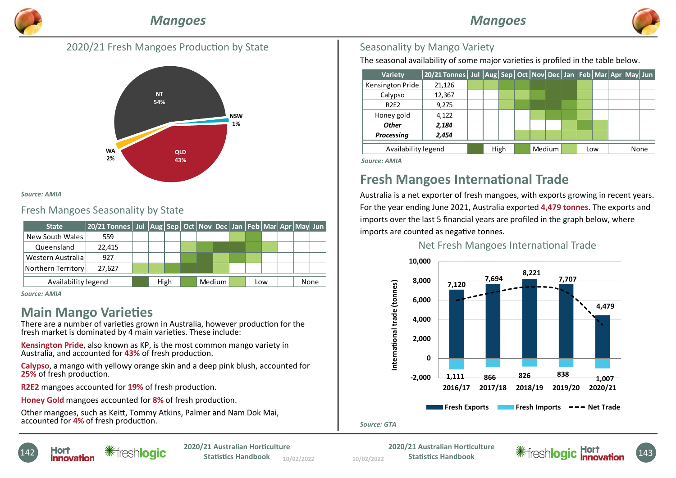

### 2020/21 Fresh Mangoes Production by State



#### Source: AMIA

#### Fresh Mangoes Seasonality by State

| <b>State</b>        | 20/21 Tonnes   Jul  Aug   Sep   Oct   Nov   Dec   Jan   Feb   Mar   Apr   May   Jun |  |      |  |        |     |  |      |  |
|---------------------|-------------------------------------------------------------------------------------|--|------|--|--------|-----|--|------|--|
| New South Wales     | 559                                                                                 |  |      |  |        |     |  |      |  |
| Queensland          | 22.415                                                                              |  |      |  |        |     |  |      |  |
| Western Australia   | 927                                                                                 |  |      |  |        |     |  |      |  |
| Northern Territory  | 27.627                                                                              |  |      |  |        |     |  |      |  |
| Availability legend |                                                                                     |  | High |  | Medium | Low |  | None |  |

Source: AMIA

## **Main Mango Varieties**

There are a number of varieties grown in Australia, however production for the fresh market is dominated by 4 main varieties. These include:

Kensington Pride, also known as KP, is the most common mango variety in Australia, and accounted for 43% of fresh production.

Calypso, a mango with yellowy orange skin and a deep pink blush, accounted for 25% of fresh production.

R2E2 mangoes accounted for 19% of fresh production.

Honey Gold mangoes accounted for 8% of fresh production.

Other mangoes, such as Keitt, Tommy Atkins, Palmer and Nam Dok Mai, accounted for 4% of fresh production.

#### Seasonality by Mango Variety

The seasonal availability of some major varieties is profiled in the table below.

| <b>Variety</b>                | 20/21 Tonnes Jul Aug Sep Oct Nov Dec Jan Feb Mar Apr May Jun |  |  |      |  |  |        |  |     |  |      |  |
|-------------------------------|--------------------------------------------------------------|--|--|------|--|--|--------|--|-----|--|------|--|
| Kensington Pride              | 21,126                                                       |  |  |      |  |  |        |  |     |  |      |  |
| Calypso                       | 12,367                                                       |  |  |      |  |  |        |  |     |  |      |  |
| <b>R2E2</b>                   | 9,275                                                        |  |  |      |  |  |        |  |     |  |      |  |
| Honey gold                    | 4,122                                                        |  |  |      |  |  |        |  |     |  |      |  |
| <b>Other</b>                  | 2,184                                                        |  |  |      |  |  |        |  |     |  |      |  |
| Processing                    | 2,454                                                        |  |  |      |  |  |        |  |     |  |      |  |
| Availability legend           |                                                              |  |  | High |  |  | Medium |  | Low |  | None |  |
| $C = \cdots = \cdots$ A A ALA |                                                              |  |  |      |  |  |        |  |     |  |      |  |

Source: AMIA

# Fresh Mangoes International Trade

Australia is a net exporter of fresh mangoes, with exports growing in recent years. For the year ending June 2021, Australia exported 4,479 tonnes. The exports and imports over the last 5 financial years are profiled in the graph below, where imports are counted as negative tonnes.

#### Net Fresh Mangoes International Trade



#### Source: GTA

**Hort Warehouter 1020/21 Australian Horticulture**<br>**Innovation Warehouter Catalysis Statistics Handbook** 

10/02/2022 **Statistics Handbook** 10/02/2022 10/02/2022

2020/21 Australian Horticulture<br>
Statistics Handbook<br> **Example August 2014** Freshlogic **Honoy** Statistics Handbook